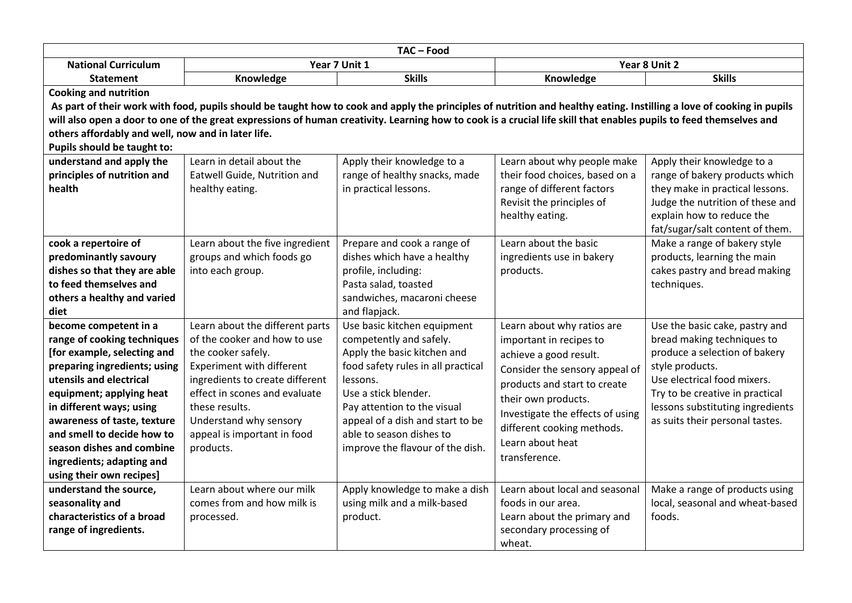| TAC - Food                                                                                                                                                            |                                 |                                    |                                  |                                  |  |  |  |
|-----------------------------------------------------------------------------------------------------------------------------------------------------------------------|---------------------------------|------------------------------------|----------------------------------|----------------------------------|--|--|--|
| <b>National Curriculum</b>                                                                                                                                            | Year 7 Unit 1                   |                                    | Year 8 Unit 2                    |                                  |  |  |  |
| <b>Statement</b>                                                                                                                                                      | Knowledge                       | <b>Skills</b>                      | Knowledge                        | <b>Skills</b>                    |  |  |  |
| <b>Cooking and nutrition</b>                                                                                                                                          |                                 |                                    |                                  |                                  |  |  |  |
| As part of their work with food, pupils should be taught how to cook and apply the principles of nutrition and healthy eating. Instilling a love of cooking in pupils |                                 |                                    |                                  |                                  |  |  |  |
| will also open a door to one of the great expressions of human creativity. Learning how to cook is a crucial life skill that enables pupils to feed themselves and    |                                 |                                    |                                  |                                  |  |  |  |
| others affordably and well, now and in later life.                                                                                                                    |                                 |                                    |                                  |                                  |  |  |  |
| Pupils should be taught to:                                                                                                                                           |                                 |                                    |                                  |                                  |  |  |  |
| understand and apply the                                                                                                                                              | Learn in detail about the       | Apply their knowledge to a         | Learn about why people make      | Apply their knowledge to a       |  |  |  |
| principles of nutrition and                                                                                                                                           | Eatwell Guide, Nutrition and    | range of healthy snacks, made      | their food choices, based on a   | range of bakery products which   |  |  |  |
| health                                                                                                                                                                | healthy eating.                 | in practical lessons.              | range of different factors       | they make in practical lessons.  |  |  |  |
|                                                                                                                                                                       |                                 |                                    | Revisit the principles of        | Judge the nutrition of these and |  |  |  |
|                                                                                                                                                                       |                                 |                                    | healthy eating.                  | explain how to reduce the        |  |  |  |
|                                                                                                                                                                       |                                 |                                    |                                  | fat/sugar/salt content of them.  |  |  |  |
| cook a repertoire of                                                                                                                                                  | Learn about the five ingredient | Prepare and cook a range of        | Learn about the basic            | Make a range of bakery style     |  |  |  |
| predominantly savoury                                                                                                                                                 | groups and which foods go       | dishes which have a healthy        | ingredients use in bakery        | products, learning the main      |  |  |  |
| dishes so that they are able                                                                                                                                          | into each group.                | profile, including:                | products.                        | cakes pastry and bread making    |  |  |  |
| to feed themselves and                                                                                                                                                |                                 | Pasta salad, toasted               |                                  | techniques.                      |  |  |  |
| others a healthy and varied                                                                                                                                           |                                 | sandwiches, macaroni cheese        |                                  |                                  |  |  |  |
| diet                                                                                                                                                                  |                                 | and flapjack.                      |                                  |                                  |  |  |  |
| become competent in a                                                                                                                                                 | Learn about the different parts | Use basic kitchen equipment        | Learn about why ratios are       | Use the basic cake, pastry and   |  |  |  |
| range of cooking techniques                                                                                                                                           | of the cooker and how to use    | competently and safely.            | important in recipes to          | bread making techniques to       |  |  |  |
| [for example, selecting and                                                                                                                                           | the cooker safely.              | Apply the basic kitchen and        | achieve a good result.           | produce a selection of bakery    |  |  |  |
| preparing ingredients; using                                                                                                                                          | Experiment with different       | food safety rules in all practical | Consider the sensory appeal of   | style products.                  |  |  |  |
| utensils and electrical                                                                                                                                               | ingredients to create different | lessons.                           | products and start to create     | Use electrical food mixers.      |  |  |  |
| equipment; applying heat                                                                                                                                              | effect in scones and evaluate   | Use a stick blender.               | their own products.              | Try to be creative in practical  |  |  |  |
| in different ways; using                                                                                                                                              | these results.                  | Pay attention to the visual        | Investigate the effects of using | lessons substituting ingredients |  |  |  |
| awareness of taste, texture                                                                                                                                           | Understand why sensory          | appeal of a dish and start to be   | different cooking methods.       | as suits their personal tastes.  |  |  |  |
| and smell to decide how to                                                                                                                                            | appeal is important in food     | able to season dishes to           | Learn about heat                 |                                  |  |  |  |
| season dishes and combine                                                                                                                                             | products.                       | improve the flavour of the dish.   | transference.                    |                                  |  |  |  |
| ingredients; adapting and                                                                                                                                             |                                 |                                    |                                  |                                  |  |  |  |
| using their own recipes]                                                                                                                                              |                                 |                                    |                                  |                                  |  |  |  |
| understand the source,                                                                                                                                                | Learn about where our milk      | Apply knowledge to make a dish     | Learn about local and seasonal   | Make a range of products using   |  |  |  |
| seasonality and                                                                                                                                                       | comes from and how milk is      | using milk and a milk-based        | foods in our area.               | local, seasonal and wheat-based  |  |  |  |
| characteristics of a broad                                                                                                                                            | processed.                      | product.                           | Learn about the primary and      | foods.                           |  |  |  |
| range of ingredients.                                                                                                                                                 |                                 |                                    | secondary processing of          |                                  |  |  |  |
|                                                                                                                                                                       |                                 |                                    | wheat.                           |                                  |  |  |  |